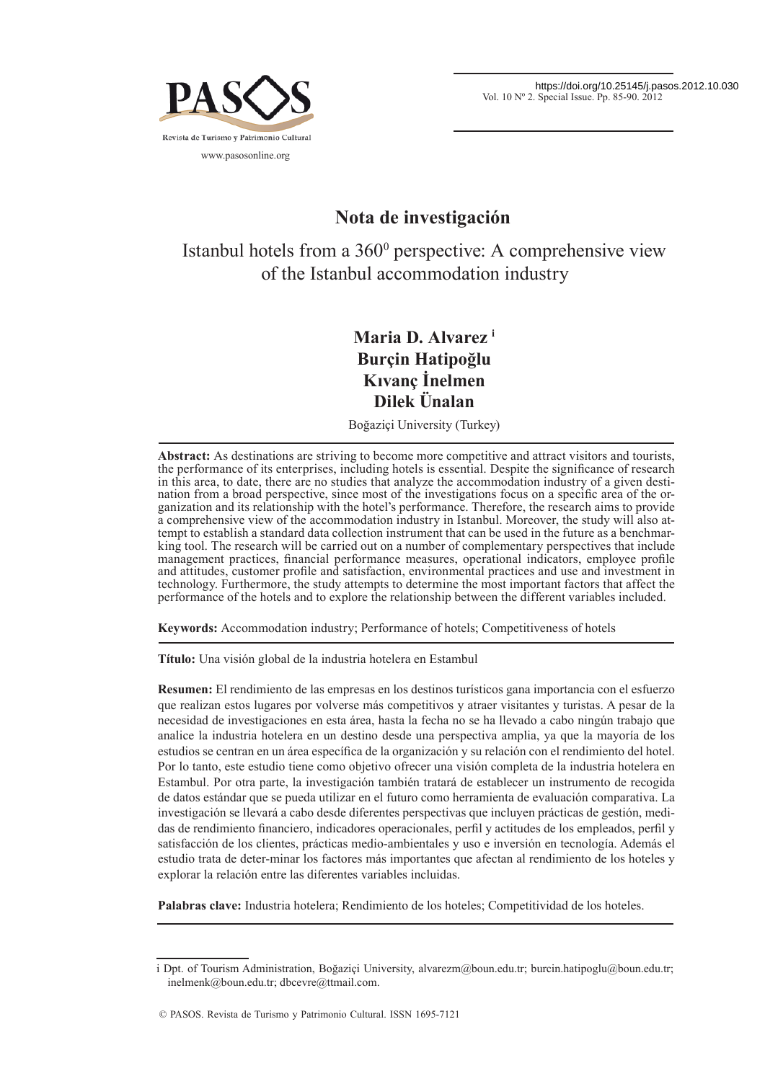

# **Nota de investigación**

Istanbul hotels from a 360<sup>°</sup> perspective: A comprehensive view of the Istanbul accommodation industry

## **Maria D. Alvarez i Burçin Hatipoğlu Kıvanç İnelmen Dilek Ünalan**

Boğaziçi University (Turkey)

**Abstract:** As destinations are striving to become more competitive and attract visitors and tourists, the performance of its enterprises, including hotels is essential. Despite the significance of research in this area, to date, there are no studies that analyze the accommodation industry of a given destination from a broad perspective, since most of the investigations focus on a specific area of the organization and its relationship with the hotel's performance. Therefore, the research aims to provide a comprehensive view of the accommodation industry in Istanbul. Moreover, the study will also attempt to establish a standard data collection instrument that can be used in the future as a benchmarking tool. The research will be carried out on a number of complementary perspectives that include management practices, financial performance measures, operational indicators, employee profile and attitudes, customer profile and satisfaction, environmental practices and use and investment in technology. Furthermore, the study attempts to determine the most important factors that affect the performance of the hotels and to explore the relationship between the different variables included.

**Keywords:** Accommodation industry; Performance of hotels; Competitiveness of hotels

**Título:** Una visión global de la industria hotelera en Estambul

**Resumen:** El rendimiento de las empresas en los destinos turísticos gana importancia con el esfuerzo que realizan estos lugares por volverse más competitivos y atraer visitantes y turistas. A pesar de la necesidad de investigaciones en esta área, hasta la fecha no se ha llevado a cabo ningún trabajo que analice la industria hotelera en un destino desde una perspectiva amplia, ya que la mayoría de los estudios se centran en un área específica de la organización y su relación con el rendimiento del hotel. Por lo tanto, este estudio tiene como objetivo ofrecer una visión completa de la industria hotelera en Estambul. Por otra parte, la investigación también tratará de establecer un instrumento de recogida de datos estándar que se pueda utilizar en el futuro como herramienta de evaluación comparativa. La investigación se llevará a cabo desde diferentes perspectivas que incluyen prácticas de gestión, medidas de rendimiento financiero, indicadores operacionales, perfil y actitudes de los empleados, perfil y satisfacción de los clientes, prácticas medio-ambientales y uso e inversión en tecnología. Además el estudio trata de deter-minar los factores más importantes que afectan al rendimiento de los hoteles y explorar la relación entre las diferentes variables incluidas.

**Palabras clave:** Industria hotelera; Rendimiento de los hoteles; Competitividad de los hoteles.

i Dpt. of Tourism Administration, Boğaziçi University, alvarezm@boun.edu.tr; burcin.hatipoglu@boun.edu.tr; inelmenk@boun.edu.tr; dbcevre@ttmail.com.

<sup>©</sup> PASOS. Revista de Turismo y Patrimonio Cultural. ISSN 1695-7121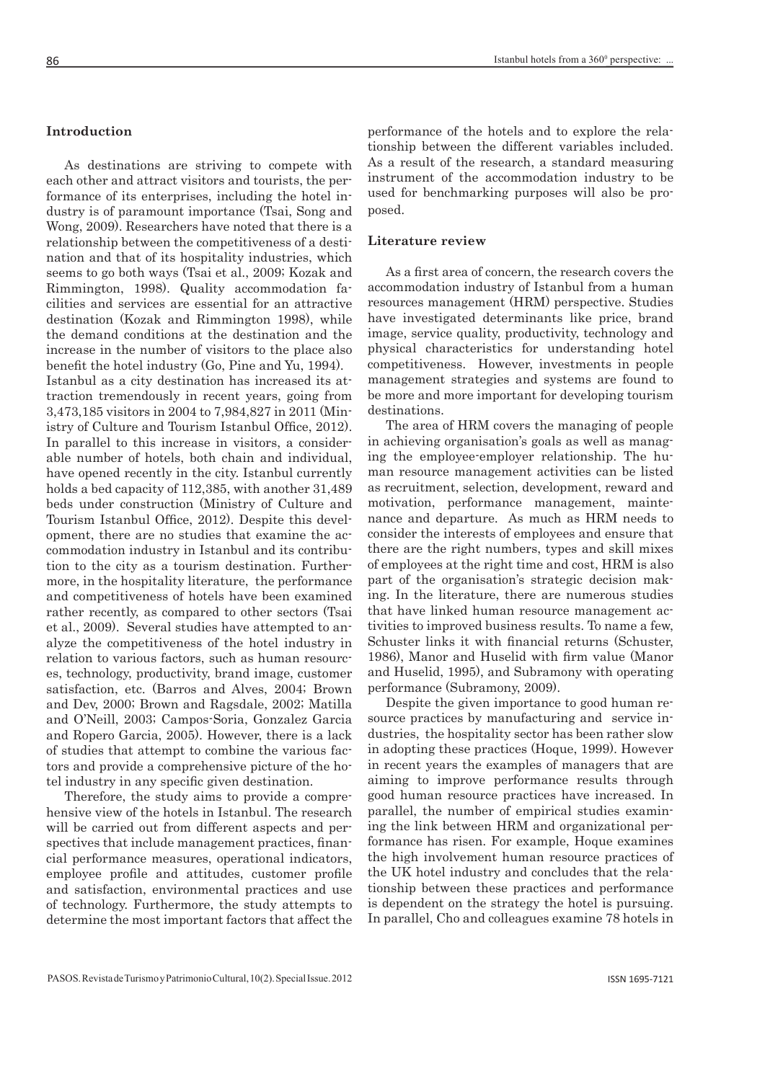## **Introduction**

As destinations are striving to compete with each other and attract visitors and tourists, the performance of its enterprises, including the hotel industry is of paramount importance (Tsai, Song and Wong, 2009). Researchers have noted that there is a relationship between the competitiveness of a destination and that of its hospitality industries, which seems to go both ways (Tsai et al., 2009; Kozak and Rimmington, 1998). Quality accommodation facilities and services are essential for an attractive destination (Kozak and Rimmington 1998), while the demand conditions at the destination and the increase in the number of visitors to the place also benefit the hotel industry (Go, Pine and Yu, 1994). Istanbul as a city destination has increased its attraction tremendously in recent years, going from 3,473,185 visitors in 2004 to 7,984,827 in 2011 (Ministry of Culture and Tourism Istanbul Office, 2012). In parallel to this increase in visitors, a considerable number of hotels, both chain and individual, have opened recently in the city. Istanbul currently holds a bed capacity of 112,385, with another 31,489 beds under construction (Ministry of Culture and Tourism Istanbul Office, 2012). Despite this development, there are no studies that examine the accommodation industry in Istanbul and its contribution to the city as a tourism destination. Furthermore, in the hospitality literature, the performance and competitiveness of hotels have been examined rather recently, as compared to other sectors (Tsai et al., 2009). Several studies have attempted to analyze the competitiveness of the hotel industry in relation to various factors, such as human resources, technology, productivity, brand image, customer satisfaction, etc. (Barros and Alves, 2004; Brown and Dev, 2000; Brown and Ragsdale, 2002; Matilla and O'Neill, 2003; Campos-Soria, Gonzalez Garcia and Ropero Garcia, 2005). However, there is a lack of studies that attempt to combine the various factors and provide a comprehensive picture of the hotel industry in any specific given destination.

Therefore, the study aims to provide a comprehensive view of the hotels in Istanbul. The research will be carried out from different aspects and perspectives that include management practices, financial performance measures, operational indicators, employee profile and attitudes, customer profile and satisfaction, environmental practices and use of technology. Furthermore, the study attempts to determine the most important factors that affect the

performance of the hotels and to explore the relationship between the different variables included. As a result of the research, a standard measuring instrument of the accommodation industry to be used for benchmarking purposes will also be proposed.

## **Literature review**

As a first area of concern, the research covers the accommodation industry of Istanbul from a human resources management (HRM) perspective. Studies have investigated determinants like price, brand image, service quality, productivity, technology and physical characteristics for understanding hotel competitiveness. However, investments in people management strategies and systems are found to be more and more important for developing tourism destinations.

The area of HRM covers the managing of people in achieving organisation's goals as well as managing the employee-employer relationship. The human resource management activities can be listed as recruitment, selection, development, reward and motivation, performance management, maintenance and departure. As much as HRM needs to consider the interests of employees and ensure that there are the right numbers, types and skill mixes of employees at the right time and cost, HRM is also part of the organisation's strategic decision making. In the literature, there are numerous studies that have linked human resource management activities to improved business results. To name a few, Schuster links it with financial returns (Schuster, 1986), Manor and Huselid with firm value (Manor and Huselid, 1995), and Subramony with operating performance (Subramony, 2009).

Despite the given importance to good human resource practices by manufacturing and service industries, the hospitality sector has been rather slow in adopting these practices (Hoque, 1999). However in recent years the examples of managers that are aiming to improve performance results through good human resource practices have increased. In parallel, the number of empirical studies examining the link between HRM and organizational performance has risen. For example, Hoque examines the high involvement human resource practices of the UK hotel industry and concludes that the relationship between these practices and performance is dependent on the strategy the hotel is pursuing. In parallel, Cho and colleagues examine 78 hotels in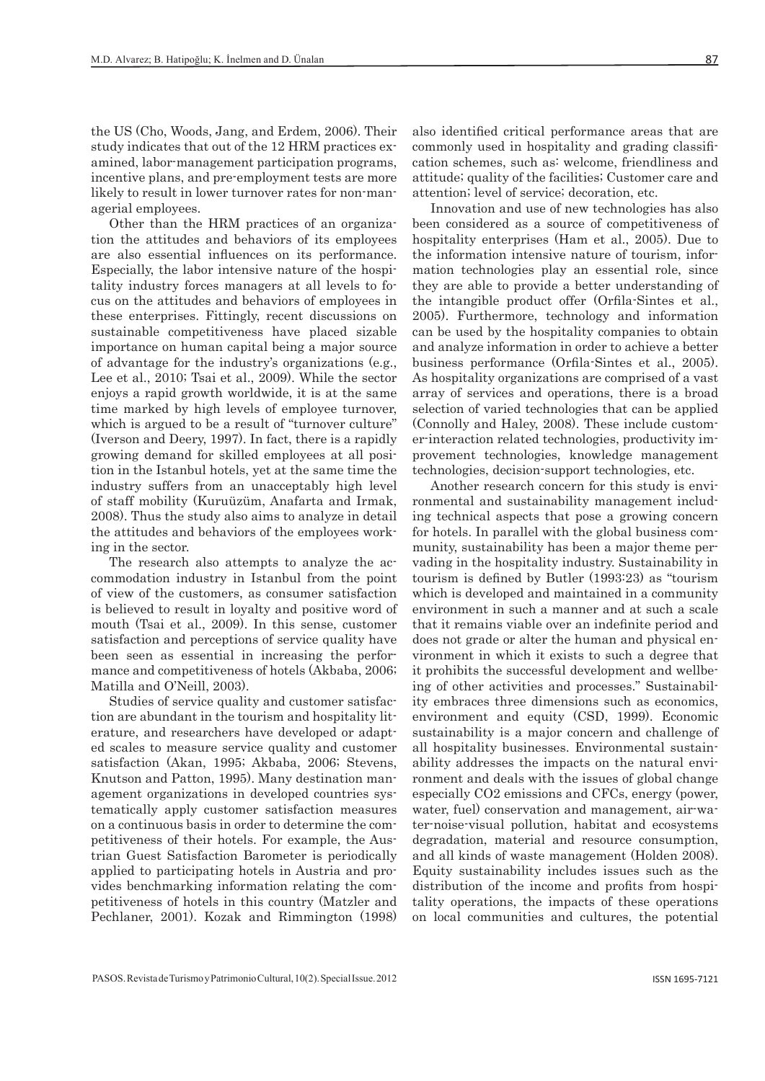the US (Cho, Woods, Jang, and Erdem, 2006). Their study indicates that out of the 12 HRM practices examined, labor-management participation programs, incentive plans, and pre-employment tests are more likely to result in lower turnover rates for non-managerial employees.

Other than the HRM practices of an organization the attitudes and behaviors of its employees are also essential influences on its performance. Especially, the labor intensive nature of the hospitality industry forces managers at all levels to focus on the attitudes and behaviors of employees in these enterprises. Fittingly, recent discussions on sustainable competitiveness have placed sizable importance on human capital being a major source of advantage for the industry's organizations (e.g., Lee et al., 2010; Tsai et al., 2009). While the sector enjoys a rapid growth worldwide, it is at the same time marked by high levels of employee turnover, which is argued to be a result of "turnover culture" (Iverson and Deery, 1997). In fact, there is a rapidly growing demand for skilled employees at all position in the Istanbul hotels, yet at the same time the industry suffers from an unacceptably high level of staff mobility (Kuruüzüm, Anafarta and Irmak, 2008). Thus the study also aims to analyze in detail the attitudes and behaviors of the employees working in the sector.

The research also attempts to analyze the accommodation industry in Istanbul from the point of view of the customers, as consumer satisfaction is believed to result in loyalty and positive word of mouth (Tsai et al., 2009). In this sense, customer satisfaction and perceptions of service quality have been seen as essential in increasing the performance and competitiveness of hotels (Akbaba, 2006; Matilla and O'Neill, 2003).

Studies of service quality and customer satisfaction are abundant in the tourism and hospitality literature, and researchers have developed or adapted scales to measure service quality and customer satisfaction (Akan, 1995; Akbaba, 2006; Stevens, Knutson and Patton, 1995). Many destination management organizations in developed countries systematically apply customer satisfaction measures on a continuous basis in order to determine the competitiveness of their hotels. For example, the Austrian Guest Satisfaction Barometer is periodically applied to participating hotels in Austria and provides benchmarking information relating the competitiveness of hotels in this country (Matzler and Pechlaner, 2001). Kozak and Rimmington (1998)

also identified critical performance areas that are commonly used in hospitality and grading classification schemes, such as: welcome, friendliness and attitude; quality of the facilities; Customer care and attention; level of service; decoration, etc.

Innovation and use of new technologies has also been considered as a source of competitiveness of hospitality enterprises (Ham et al., 2005). Due to the information intensive nature of tourism, information technologies play an essential role, since they are able to provide a better understanding of the intangible product offer (Orfila-Sintes et al., 2005). Furthermore, technology and information can be used by the hospitality companies to obtain and analyze information in order to achieve a better business performance (Orfila-Sintes et al., 2005). As hospitality organizations are comprised of a vast array of services and operations, there is a broad selection of varied technologies that can be applied (Connolly and Haley, 2008). These include customer-interaction related technologies, productivity improvement technologies, knowledge management technologies, decision-support technologies, etc.

Another research concern for this study is environmental and sustainability management including technical aspects that pose a growing concern for hotels. In parallel with the global business community, sustainability has been a major theme pervading in the hospitality industry. Sustainability in tourism is defined by Butler  $(1993:23)$  as "tourism" which is developed and maintained in a community environment in such a manner and at such a scale that it remains viable over an indefinite period and does not grade or alter the human and physical environment in which it exists to such a degree that it prohibits the successful development and wellbeing of other activities and processes." Sustainability embraces three dimensions such as economics, environment and equity (CSD, 1999). Economic sustainability is a major concern and challenge of all hospitality businesses. Environmental sustainability addresses the impacts on the natural environment and deals with the issues of global change especially CO2 emissions and CFCs, energy (power, water, fuel) conservation and management, air-water-noise-visual pollution, habitat and ecosystems degradation, material and resource consumption, and all kinds of waste management (Holden 2008). Equity sustainability includes issues such as the distribution of the income and profits from hospitality operations, the impacts of these operations on local communities and cultures, the potential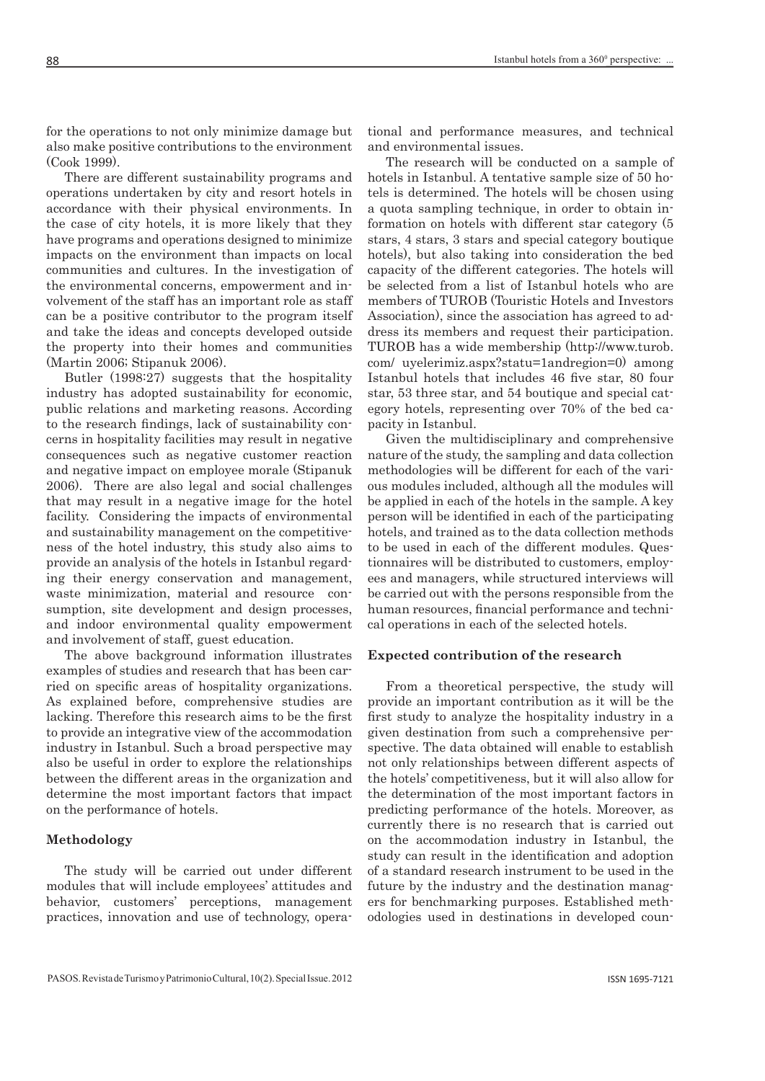for the operations to not only minimize damage but also make positive contributions to the environment (Cook 1999).

There are different sustainability programs and operations undertaken by city and resort hotels in accordance with their physical environments. In the case of city hotels, it is more likely that they have programs and operations designed to minimize impacts on the environment than impacts on local communities and cultures. In the investigation of the environmental concerns, empowerment and involvement of the staff has an important role as staff can be a positive contributor to the program itself and take the ideas and concepts developed outside the property into their homes and communities (Martin 2006; Stipanuk 2006).

Butler (1998:27) suggests that the hospitality industry has adopted sustainability for economic, public relations and marketing reasons. According to the research findings, lack of sustainability concerns in hospitality facilities may result in negative consequences such as negative customer reaction and negative impact on employee morale (Stipanuk 2006). There are also legal and social challenges that may result in a negative image for the hotel facility. Considering the impacts of environmental and sustainability management on the competitiveness of the hotel industry, this study also aims to provide an analysis of the hotels in Istanbul regarding their energy conservation and management, waste minimization, material and resource consumption, site development and design processes, and indoor environmental quality empowerment and involvement of staff, guest education.

The above background information illustrates examples of studies and research that has been carried on specific areas of hospitality organizations. As explained before, comprehensive studies are lacking. Therefore this research aims to be the first to provide an integrative view of the accommodation industry in Istanbul. Such a broad perspective may also be useful in order to explore the relationships between the different areas in the organization and determine the most important factors that impact on the performance of hotels.

## **Methodology**

The study will be carried out under different modules that will include employees' attitudes and behavior, customers' perceptions, management practices, innovation and use of technology, operational and performance measures, and technical and environmental issues.

The research will be conducted on a sample of hotels in Istanbul. A tentative sample size of 50 hotels is determined. The hotels will be chosen using a quota sampling technique, in order to obtain information on hotels with different star category (5 stars, 4 stars, 3 stars and special category boutique hotels), but also taking into consideration the bed capacity of the different categories. The hotels will be selected from a list of Istanbul hotels who are members of TUROB (Touristic Hotels and Investors Association), since the association has agreed to address its members and request their participation. TUROB has a wide membership (http://www.turob. com/ uyelerimiz.aspx?statu=1andregion=0) among Istanbul hotels that includes 46 five star, 80 four star, 53 three star, and 54 boutique and special category hotels, representing over 70% of the bed capacity in Istanbul.

Given the multidisciplinary and comprehensive nature of the study, the sampling and data collection methodologies will be different for each of the various modules included, although all the modules will be applied in each of the hotels in the sample. A key person will be identified in each of the participating hotels, and trained as to the data collection methods to be used in each of the different modules. Questionnaires will be distributed to customers, employees and managers, while structured interviews will be carried out with the persons responsible from the human resources, financial performance and technical operations in each of the selected hotels.

## **Expected contribution of the research**

From a theoretical perspective, the study will provide an important contribution as it will be the first study to analyze the hospitality industry in a given destination from such a comprehensive perspective. The data obtained will enable to establish not only relationships between different aspects of the hotels' competitiveness, but it will also allow for the determination of the most important factors in predicting performance of the hotels. Moreover, as currently there is no research that is carried out on the accommodation industry in Istanbul, the study can result in the identification and adoption of a standard research instrument to be used in the future by the industry and the destination managers for benchmarking purposes. Established methodologies used in destinations in developed coun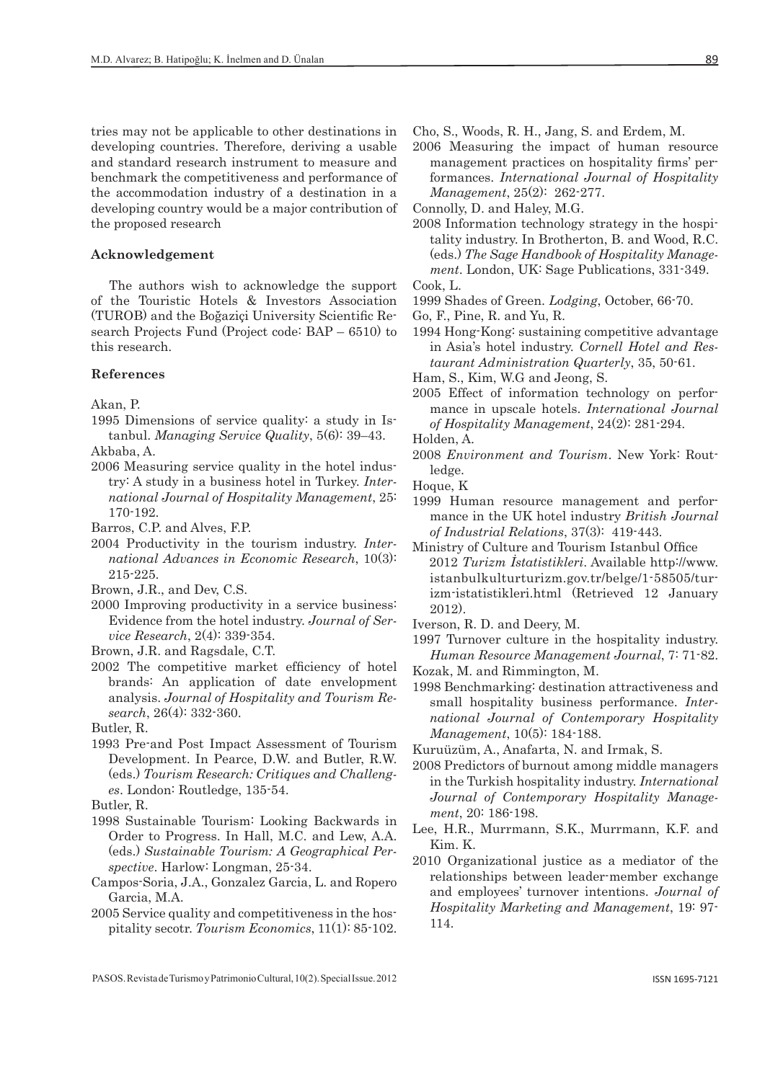tries may not be applicable to other destinations in developing countries. Therefore, deriving a usable and standard research instrument to measure and benchmark the competitiveness and performance of the accommodation industry of a destination in a developing country would be a major contribution of the proposed research

#### **Acknowledgement**

The authors wish to acknowledge the support of the Touristic Hotels & Investors Association (TUROB) and the Boğaziçi University Scientific Research Projects Fund (Project code: BAP – 6510) to this research.

### **References**

Akan, P.

- 1995 Dimensions of service quality: a study in Istanbul. *Managing Service Quality*, 5(6): 39–43.
- Akbaba, A. 2006 Measuring service quality in the hotel indus-
- try: A study in a business hotel in Turkey. *International Journal of Hospitality Management*, 25: 170-192.
- Barros, C.P. and Alves, F.P.
- 2004 Productivity in the tourism industry. *International Advances in Economic Research*, 10(3): 215-225.
- Brown, J.R., and Dev, C.S.
- 2000 Improving productivity in a service business: Evidence from the hotel industry. *Journal of Service Research*, 2(4): 339-354.
- Brown, J.R. and Ragsdale, C.T.
- 2002 The competitive market efficiency of hotel brands: An application of date envelopment analysis. *Journal of Hospitality and Tourism Research*, 26(4): 332-360.

Butler, R.

1993 Pre-and Post Impact Assessment of Tourism Development. In Pearce, D.W. and Butler, R.W. (eds.) *Tourism Research: Critiques and Challenges*. London: Routledge, 135-54.

Butler, R.

- 1998 Sustainable Tourism: Looking Backwards in Order to Progress. In Hall, M.C. and Lew, A.A. (eds.) *Sustainable Tourism: A Geographical Perspective*. Harlow: Longman, 25-34.
- Campos-Soria, J.A., Gonzalez Garcia, L. and Ropero Garcia, M.A.
- 2005 Service quality and competitiveness in the hospitality secotr. *Tourism Economics*, 11(1): 85-102.
- Cho, S., Woods, R. H., Jang, S. and Erdem, M.
- 2006 Measuring the impact of human resource management practices on hospitality firms' performances. *International Journal of Hospitality Management*, 25(2): 262-277.

Connolly, D. and Haley, M.G.

2008 Information technology strategy in the hospitality industry. In Brotherton, B. and Wood, R.C. (eds.) *The Sage Handbook of Hospitality Management*. London, UK: Sage Publications, 331-349. Cook, L.

- 1999 Shades of Green. *Lodging*, October, 66-70.
- Go, F., Pine, R. and Yu, R.
- 1994 Hong-Kong: sustaining competitive advantage in Asia's hotel industry. *Cornell Hotel and Restaurant Administration Quarterly*, 35, 50-61.
- Ham, S., Kim, W.G and Jeong, S.
- 2005 Effect of information technology on performance in upscale hotels. *International Journal of Hospitality Management*, 24(2): 281-294.

Holden, A.

2008 *Environment and Tourism*. New York: Routledge.

Hoque, K

- 1999 Human resource management and performance in the UK hotel industry *British Journal of Industrial Relations*, 37(3): 419-443.
- Ministry of Culture and Tourism Istanbul Office 2012 *Turizm İstatistikleri*. Available http://www. istanbulkulturturizm.gov.tr/belge/1-58505/turizm-istatistikleri.html (Retrieved 12 January 2012).

Iverson, R. D. and Deery, M.

1997 Turnover culture in the hospitality industry. *Human Resource Management Journal*, 7: 71-82.

- Kozak, M. and Rimmington, M.
- 1998 Benchmarking: destination attractiveness and small hospitality business performance. *International Journal of Contemporary Hospitality Management*, 10(5): 184-188.
- Kuruüzüm, A., Anafarta, N. and Irmak, S.
- 2008 Predictors of burnout among middle managers in the Turkish hospitality industry. *International Journal of Contemporary Hospitality Management*, 20: 186-198.
- Lee, H.R., Murrmann, S.K., Murrmann, K.F. and Kim. K.
- 2010 Organizational justice as a mediator of the relationships between leader-member exchange and employees' turnover intentions. *Journal of Hospitality Marketing and Management*, 19: 97- 114.